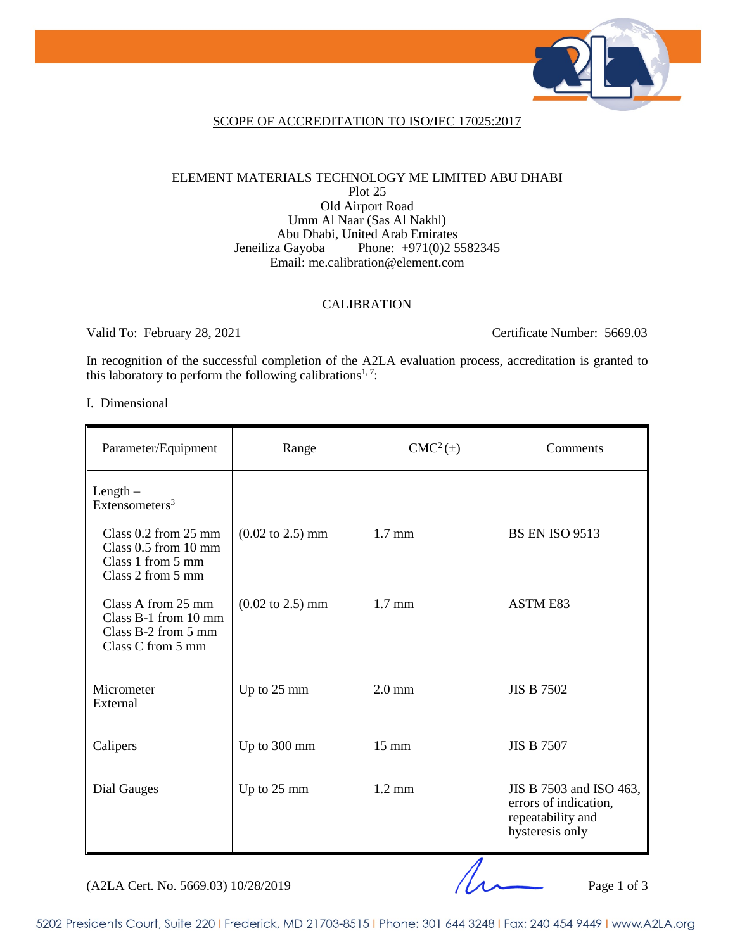

## SCOPE OF ACCREDITATION TO ISO/IEC 17025:2017

### ELEMENT MATERIALS TECHNOLOGY ME LIMITED ABU DHABI Plot 25 Old Airport Road Umm Al Naar (Sas Al Nakhl) Abu Dhabi, United Arab Emirates Jeneiliza Gayoba Phone: +971(0)2 5582345 Email: me.calibration@element.com

### CALIBRATION

Valid To: February 28, 2021 Certificate Number: 5669.03

In recognition of the successful completion of the A2LA evaluation process, accreditation is granted to this laboratory to perform the following calibrations<sup>1, 7</sup>:

### I. Dimensional

| Parameter/Equipment                                                                                    | Range                               | $CMC2(\pm)$      | Comments                                                                                 |
|--------------------------------------------------------------------------------------------------------|-------------------------------------|------------------|------------------------------------------------------------------------------------------|
| $Length -$<br>Extensometers <sup>3</sup>                                                               |                                     |                  |                                                                                          |
| Class $0.2$ from $25 \text{ mm}$<br>Class $0.5$ from $10$ mm<br>Class 1 from 5 mm<br>Class 2 from 5 mm | $(0.02 \text{ to } 2.5) \text{ mm}$ | $1.7 \text{ mm}$ | <b>BS EN ISO 9513</b>                                                                    |
| Class A from 25 mm<br>Class B-1 from 10 mm<br>Class $B-2$ from 5 mm<br>Class C from 5 mm               | $(0.02 \text{ to } 2.5) \text{ mm}$ | $1.7 \text{ mm}$ | <b>ASTM E83</b>                                                                          |
| Micrometer<br>External                                                                                 | Up to 25 mm                         | $2.0 \text{ mm}$ | <b>JIS B 7502</b>                                                                        |
| Calipers                                                                                               | Up to 300 mm                        | $15 \text{ mm}$  | <b>JIS B 7507</b>                                                                        |
| Dial Gauges                                                                                            | Up to 25 mm                         | $1.2 \text{ mm}$ | JIS B 7503 and ISO 463,<br>errors of indication,<br>repeatability and<br>hysteresis only |

(A2LA Cert. No. 5669.03) 10/28/2019 Page 1 of 3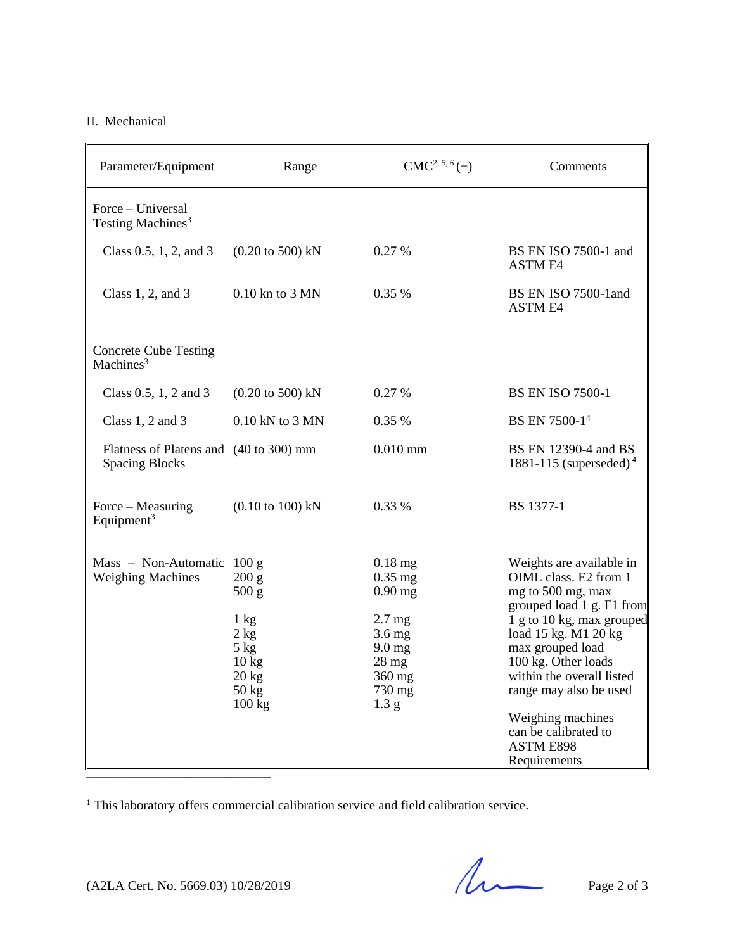# II. Mechanical

| Parameter/Equipment                                   | Range                                                                                                                 | $CMC2, 5, 6(\pm)$                                                                                                               | Comments                                                                                                                                                                                                                                                                                                                                    |
|-------------------------------------------------------|-----------------------------------------------------------------------------------------------------------------------|---------------------------------------------------------------------------------------------------------------------------------|---------------------------------------------------------------------------------------------------------------------------------------------------------------------------------------------------------------------------------------------------------------------------------------------------------------------------------------------|
| Force – Universal<br>Testing Machines <sup>3</sup>    |                                                                                                                       |                                                                                                                                 |                                                                                                                                                                                                                                                                                                                                             |
| Class $0.5, 1, 2,$ and $3$                            | $(0.20 \text{ to } 500) \text{ kN}$                                                                                   | 0.27 %                                                                                                                          | BS EN ISO 7500-1 and<br><b>ASTM E4</b>                                                                                                                                                                                                                                                                                                      |
| Class $1, 2$ , and $3$                                | $0.10$ kn to $3$ MN                                                                                                   | 0.35%                                                                                                                           | BS EN ISO 7500-1 and<br><b>ASTM E4</b>                                                                                                                                                                                                                                                                                                      |
| <b>Concrete Cube Testing</b><br>Machines <sup>3</sup> |                                                                                                                       |                                                                                                                                 |                                                                                                                                                                                                                                                                                                                                             |
| Class $0.5$ , 1, 2 and 3                              | $(0.20 \text{ to } 500) \text{ kN}$                                                                                   | 0.27%                                                                                                                           | <b>BS EN ISO 7500-1</b>                                                                                                                                                                                                                                                                                                                     |
| Class $1, 2$ and $3$                                  | 0.10 kN to 3 MN                                                                                                       | 0.35 %                                                                                                                          | BS EN 7500-1 <sup>4</sup>                                                                                                                                                                                                                                                                                                                   |
| Flatness of Platens and<br><b>Spacing Blocks</b>      | $(40 \text{ to } 300) \text{ mm}$                                                                                     | $0.010$ mm                                                                                                                      | BS EN 12390-4 and BS<br>1881-115 (superseded) <sup>4</sup>                                                                                                                                                                                                                                                                                  |
| Force – Measuring<br>Equipment <sup>3</sup>           | $(0.10 \text{ to } 100) \text{ kN}$                                                                                   | 0.33 %                                                                                                                          | <b>BS</b> 1377-1                                                                                                                                                                                                                                                                                                                            |
| Mass - Non-Automatic<br><b>Weighing Machines</b>      | 100 g<br>200 g<br>500 g<br>$1 \text{ kg}$<br>2 kg<br>$5$ kg<br>10 <sub>kg</sub><br>$20 \text{ kg}$<br>50 kg<br>100 kg | $0.18$ mg<br>$0.35$ mg<br>$0.90$ mg<br>$2.7 \text{ mg}$<br>$3.6$ mg<br>$9.0$ mg<br>$28 \text{ mg}$<br>360 mg<br>730 mg<br>1.3 g | Weights are available in<br>OIML class. E2 from 1<br>mg to 500 mg, max<br>grouped load 1 g. F1 from<br>1 g to 10 kg, max grouped<br>load 15 kg. M1 20 kg<br>max grouped load<br>100 kg. Other loads<br>within the overall listed<br>range may also be used<br>Weighing machines<br>can be calibrated to<br><b>ASTM E898</b><br>Requirements |

<sup>1</sup> This laboratory offers commercial calibration service and field calibration service.

 $(A2LA$  Cert. No. 5669.03) 10/28/2019 Page 2 of 3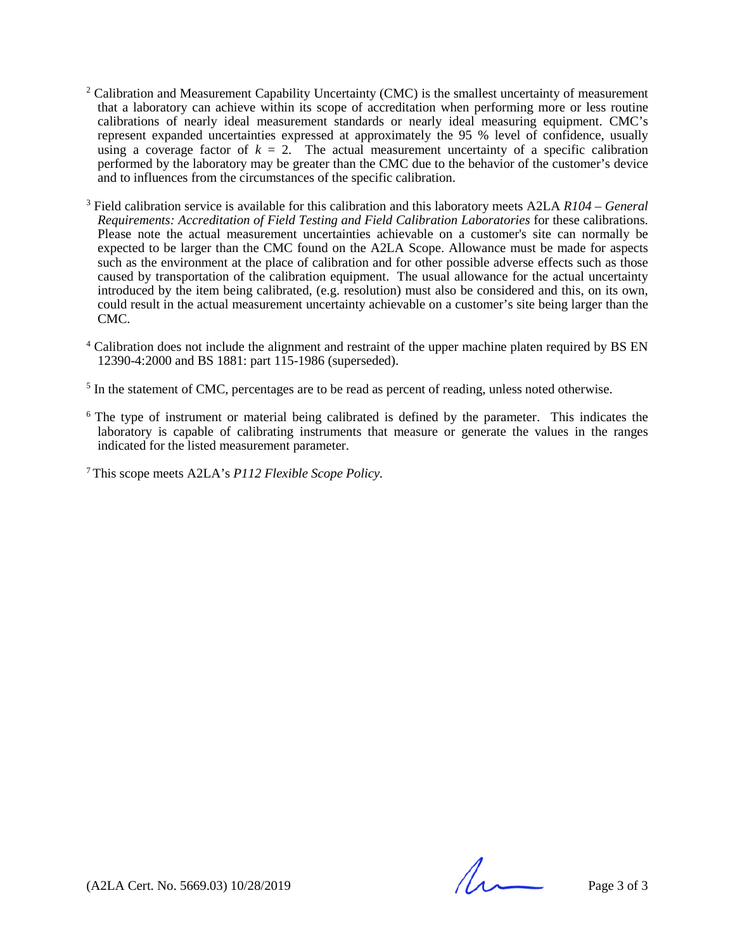- <sup>2</sup> Calibration and Measurement Capability Uncertainty (CMC) is the smallest uncertainty of measurement that a laboratory can achieve within its scope of accreditation when performing more or less routine calibrations of nearly ideal measurement standards or nearly ideal measuring equipment. CMC's represent expanded uncertainties expressed at approximately the 95 % level of confidence, usually using a coverage factor of  $k = 2$ . The actual measurement uncertainty of a specific calibration performed by the laboratory may be greater than the CMC due to the behavior of the customer's device and to influences from the circumstances of the specific calibration.
- <sup>3</sup> Field calibration service is available for this calibration and this laboratory meets A2LA *R104 – General Requirements: Accreditation of Field Testing and Field Calibration Laboratories* for these calibrations. Please note the actual measurement uncertainties achievable on a customer's site can normally be expected to be larger than the CMC found on the A2LA Scope. Allowance must be made for aspects such as the environment at the place of calibration and for other possible adverse effects such as those caused by transportation of the calibration equipment. The usual allowance for the actual uncertainty introduced by the item being calibrated, (e.g. resolution) must also be considered and this, on its own, could result in the actual measurement uncertainty achievable on a customer's site being larger than the CMC.
- <sup>4</sup> Calibration does not include the alignment and restraint of the upper machine platen required by BS EN 12390-4:2000 and BS 1881: part 115-1986 (superseded).
- <sup>5</sup> In the statement of CMC, percentages are to be read as percent of reading, unless noted otherwise.
- $6$  The type of instrument or material being calibrated is defined by the parameter. This indicates the laboratory is capable of calibrating instruments that measure or generate the values in the ranges indicated for the listed measurement parameter.

7 This scope meets A2LA's *P112 Flexible Scope Policy.*